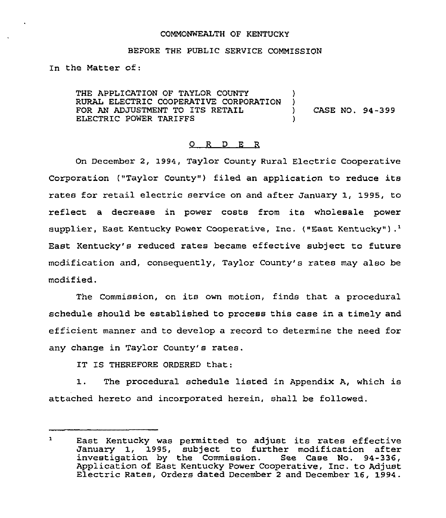### COMMONWEALTH OF KENTUCKY

### BEFORE THE PUBLIC SERVICE COMMISSION

In the Matter of:

THE APPLICATION OF TAYLOR COUNTY )<br>RURAL ELECTRIC COOPERATIVE CORPORATION ) RURAL ELECTRIC COOPERATIVE CORPORATION )<br>FOR AN ADJUSTMENT TO ITS RETAIL () FOR AN ADJUSTMENT TO ITS RETAIL  $(94-399$ <br>ELECTRIC POWER TARIFFS ELECTRIC POWER TARIFFS

## 0 R <sup>D</sup> E R

On December 2, 1994, Taylor County Rural Electric Cooperative Corporation ("Taylor County") filed an application to reduce its rates for retail electric service on and after January 1, 1995, to reflect a decrease in power costs from its wholesale power supplier, East Kentucky Power Cooperative, Inc. ("East Kentucky").<sup>1</sup> East Kentucky's reduced rates became effective subject to future modification and, consequently, Taylor County's rates may also be modified.

The Commission, on its own motion, finds that a procedural schedule should be established to process this case in a timely and efficient manner and to develop a record to determine the need for any change in Taylor County's rates.

IT 1S THEREFORE ORDERED that:

1. The procedural schedule listed in Appendix A, which is attached hereto and incorporated herein, shall be followed.

 $\mathbf{1}$ East Kentucky was permitted to adjust its rates effective January 1, 1995, subject to further modification after investigation by the Commission. See Case No. 94-336, Application of East Kentucky Power Cooperative, Inc. to Adjust Electric Rates, Orders dated December <sup>2</sup> and December 16, 1994.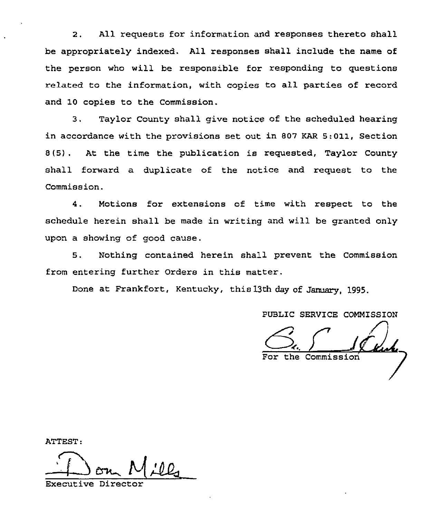2. All requests for information and responses thereto shall be appropriately indexed. All responses shall include the name of the person who will be responsible for responding to questions related to the information, with copies to all parties of record and 10 copies to the Commission.

3. Taylor County shall give notice of the scheduled hearing in accordance with the provisions set out in 807 KAR 5:011, Section 8(5) . At the time the publication is requested, Taylor County shall forward a duplicate of the notice and request to the Commission.

4. Motions for extensions of time with respect to the schedule herein shall be made in writing and will be granted only upon a showing of good cause.

5. Nothing contained herein shall prevent the Commission from entering further Orders in this matter.

Done at Frankfort, Kentucky, this 13th day of January, 1995.

PUBLIC SERVICE COMMISSION

the Commission

ATTEST:

Executive Director